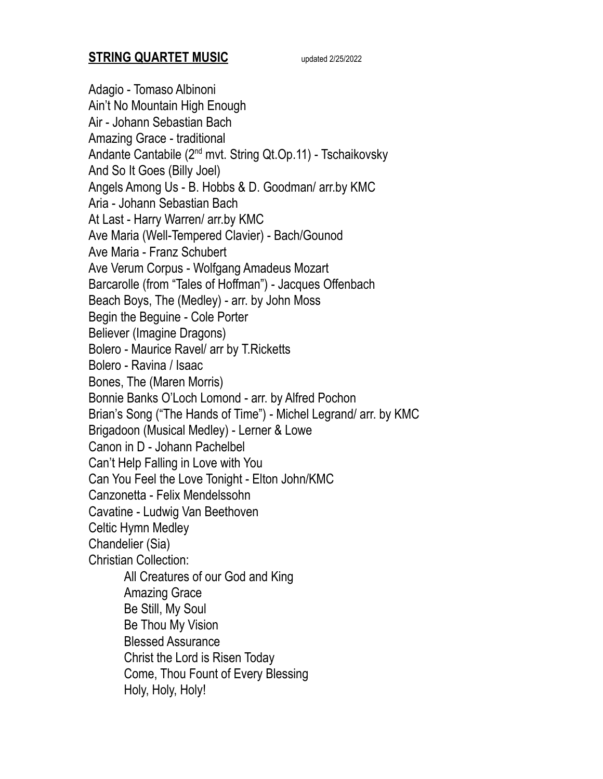## **STRING QUARTET MUSIC** updated 2/25/2022

Adagio - Tomaso Albinoni Ain't No Mountain High Enough Air - Johann Sebastian Bach Amazing Grace - traditional Andante Cantabile (2<sup>nd</sup> mvt. String Qt.Op.11) - Tschaikovsky And So It Goes (Billy Joel) Angels Among Us - B. Hobbs & D. Goodman/ arr.by KMC Aria - Johann Sebastian Bach At Last - Harry Warren/ arr.by KMC Ave Maria (Well-Tempered Clavier) - Bach/Gounod Ave Maria - Franz Schubert Ave Verum Corpus - Wolfgang Amadeus Mozart Barcarolle (from "Tales of Hoffman") - Jacques Offenbach Beach Boys, The (Medley) - arr. by John Moss Begin the Beguine - Cole Porter Believer (Imagine Dragons) Bolero - Maurice Ravel/ arr by T.Ricketts Bolero - Ravina / Isaac Bones, The (Maren Morris) Bonnie Banks O'Loch Lomond - arr. by Alfred Pochon Brian's Song ("The Hands of Time") - Michel Legrand/ arr. by KMC Brigadoon (Musical Medley) - Lerner & Lowe Canon in D - Johann Pachelbel Can't Help Falling in Love with You Can You Feel the Love Tonight - Elton John/KMC Canzonetta - Felix Mendelssohn Cavatine - Ludwig Van Beethoven Celtic Hymn Medley Chandelier (Sia) Christian Collection: All Creatures of our God and King Amazing Grace Be Still, My Soul Be Thou My Vision Blessed Assurance Christ the Lord is Risen Today Come, Thou Fount of Every Blessing Holy, Holy, Holy!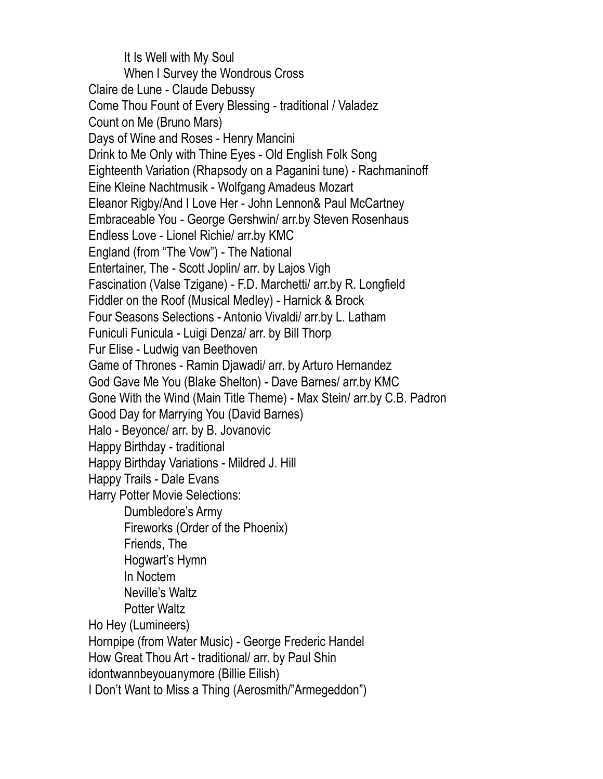It Is Well with My Soul When I Survey the Wondrous Cross Claire de Lune - Claude Debussy Come Thou Fount of Every Blessing - traditional / Valadez Count on Me (Bruno Mars) Days of Wine and Roses - Henry Mancini Drink to Me Only with Thine Eyes - Old English Folk Song Eighteenth Variation (Rhapsody on a Paganini tune) - Rachmaninoff Eine Kleine Nachtmusik - Wolfgang Amadeus Mozart Eleanor Rigby/And I Love Her - John Lennon& Paul McCartney Embraceable You - George Gershwin/ arr.by Steven Rosenhaus Endless Love - Lionel Richie/ arr.by KMC England (from "The Vow") - The National Entertainer, The - Scott Joplin/ arr. by Lajos Vigh Fascination (Valse Tzigane) - F.D. Marchetti/ arr.by R. Longfield Fiddler on the Roof (Musical Medley) - Harnick & Brock Four Seasons Selections - Antonio Vivaldi/ arr.by L. Latham Funiculi Funicula - Luigi Denza/ arr. by Bill Thorp Fur Elise - Ludwig van Beethoven Game of Thrones - Ramin Djawadi/ arr. by Arturo Hernandez God Gave Me You (Blake Shelton) - Dave Barnes/ arr.by KMC Gone With the Wind (Main Title Theme) - Max Stein/ arr.by C.B. Padron Good Day for Marrying You (David Barnes) Halo - Beyonce/ arr. by B. Jovanovic Happy Birthday - traditional Happy Birthday Variations - Mildred J. Hill Happy Trails - Dale Evans Harry Potter Movie Selections: Dumbledore's Army Fireworks (Order of the Phoenix) Friends, The Hogwart's Hymn In Noctem Neville's Waltz Potter Waltz Ho Hey (Lumineers) Hornpipe (from Water Music) - George Frederic Handel How Great Thou Art - traditional/ arr. by Paul Shin idontwannbeyouanymore (Billie Eilish) I Don't Want to Miss a Thing (Aerosmith/"Armegeddon")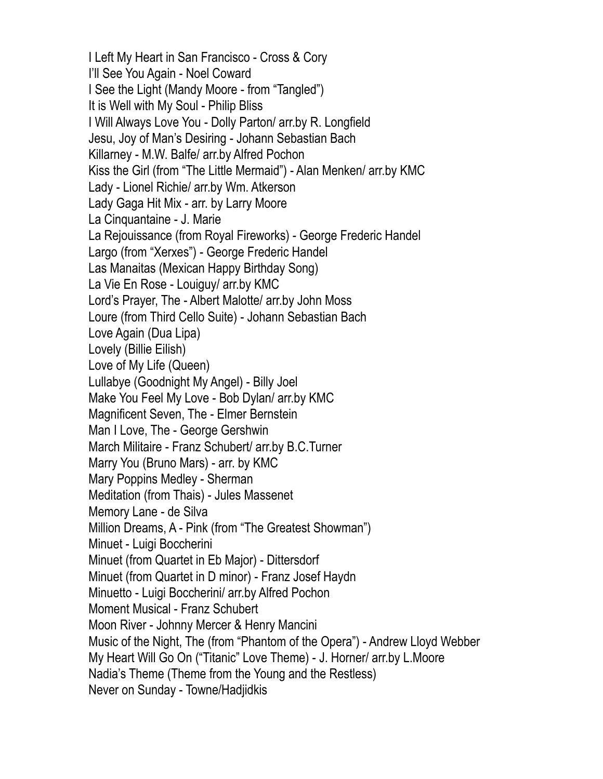I Left My Heart in San Francisco - Cross & Cory I'll See You Again - Noel Coward I See the Light (Mandy Moore - from "Tangled") It is Well with My Soul - Philip Bliss I Will Always Love You - Dolly Parton/ arr.by R. Longfield Jesu, Joy of Man's Desiring - Johann Sebastian Bach Killarney - M.W. Balfe/ arr.by Alfred Pochon Kiss the Girl (from "The Little Mermaid") - Alan Menken/ arr.by KMC Lady - Lionel Richie/ arr.by Wm. Atkerson Lady Gaga Hit Mix - arr. by Larry Moore La Cinquantaine - J. Marie La Rejouissance (from Royal Fireworks) - George Frederic Handel Largo (from "Xerxes") - George Frederic Handel Las Manaitas (Mexican Happy Birthday Song) La Vie En Rose - Louiguy/ arr.by KMC Lord's Prayer, The - Albert Malotte/ arr.by John Moss Loure (from Third Cello Suite) - Johann Sebastian Bach Love Again (Dua Lipa) Lovely (Billie Eilish) Love of My Life (Queen) Lullabye (Goodnight My Angel) - Billy Joel Make You Feel My Love - Bob Dylan/ arr.by KMC Magnificent Seven, The - Elmer Bernstein Man I Love, The - George Gershwin March Militaire - Franz Schubert/ arr.by B.C.Turner Marry You (Bruno Mars) - arr. by KMC Mary Poppins Medley - Sherman Meditation (from Thais) - Jules Massenet Memory Lane - de Silva Million Dreams, A - Pink (from "The Greatest Showman") Minuet - Luigi Boccherini Minuet (from Quartet in Eb Major) - Dittersdorf Minuet (from Quartet in D minor) - Franz Josef Haydn Minuetto - Luigi Boccherini/ arr.by Alfred Pochon Moment Musical - Franz Schubert Moon River - Johnny Mercer & Henry Mancini Music of the Night, The (from "Phantom of the Opera") - Andrew Lloyd Webber My Heart Will Go On ("Titanic" Love Theme) - J. Horner/ arr.by L.Moore Nadia's Theme (Theme from the Young and the Restless) Never on Sunday - Towne/Hadjidkis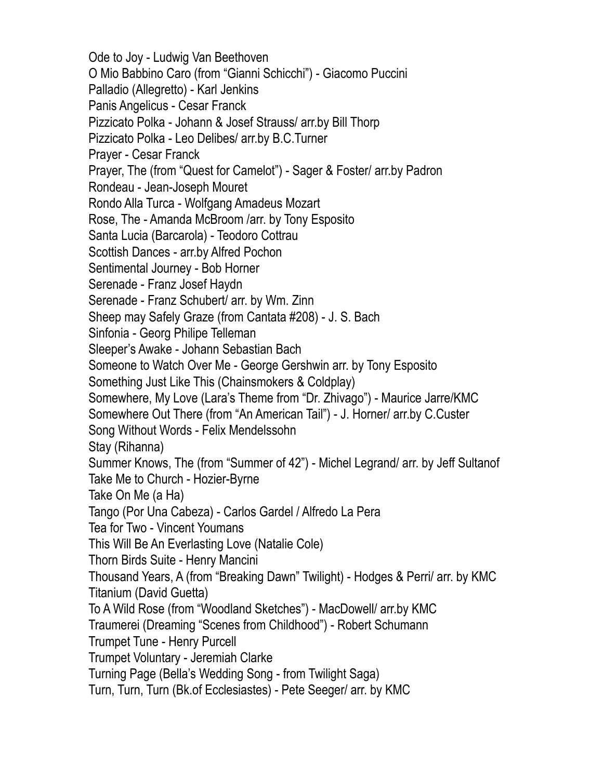Ode to Joy - Ludwig Van Beethoven O Mio Babbino Caro (from "Gianni Schicchi") - Giacomo Puccini Palladio (Allegretto) - Karl Jenkins Panis Angelicus - Cesar Franck Pizzicato Polka - Johann & Josef Strauss/ arr.by Bill Thorp Pizzicato Polka - Leo Delibes/ arr.by B.C.Turner Prayer - Cesar Franck Prayer, The (from "Quest for Camelot") - Sager & Foster/ arr.by Padron Rondeau - Jean-Joseph Mouret Rondo Alla Turca - Wolfgang Amadeus Mozart Rose, The - Amanda McBroom /arr. by Tony Esposito Santa Lucia (Barcarola) - Teodoro Cottrau Scottish Dances - arr.by Alfred Pochon Sentimental Journey - Bob Horner Serenade - Franz Josef Haydn Serenade - Franz Schubert/ arr. by Wm. Zinn Sheep may Safely Graze (from Cantata #208) - J. S. Bach Sinfonia - Georg Philipe Telleman Sleeper's Awake - Johann Sebastian Bach Someone to Watch Over Me - George Gershwin arr. by Tony Esposito Something Just Like This (Chainsmokers & Coldplay) Somewhere, My Love (Lara's Theme from "Dr. Zhivago") - Maurice Jarre/KMC Somewhere Out There (from "An American Tail") - J. Horner/ arr.by C.Custer Song Without Words - Felix Mendelssohn Stay (Rihanna) Summer Knows, The (from "Summer of 42") - Michel Legrand/ arr. by Jeff Sultanof Take Me to Church - Hozier-Byrne Take On Me (a Ha) Tango (Por Una Cabeza) - Carlos Gardel / Alfredo La Pera Tea for Two - Vincent Youmans This Will Be An Everlasting Love (Natalie Cole) Thorn Birds Suite - Henry Mancini Thousand Years, A (from "Breaking Dawn" Twilight) - Hodges & Perri/ arr. by KMC Titanium (David Guetta) To A Wild Rose (from "Woodland Sketches") - MacDowell/ arr.by KMC Traumerei (Dreaming "Scenes from Childhood") - Robert Schumann Trumpet Tune - Henry Purcell Trumpet Voluntary - Jeremiah Clarke Turning Page (Bella's Wedding Song - from Twilight Saga) Turn, Turn, Turn (Bk.of Ecclesiastes) - Pete Seeger/ arr. by KMC